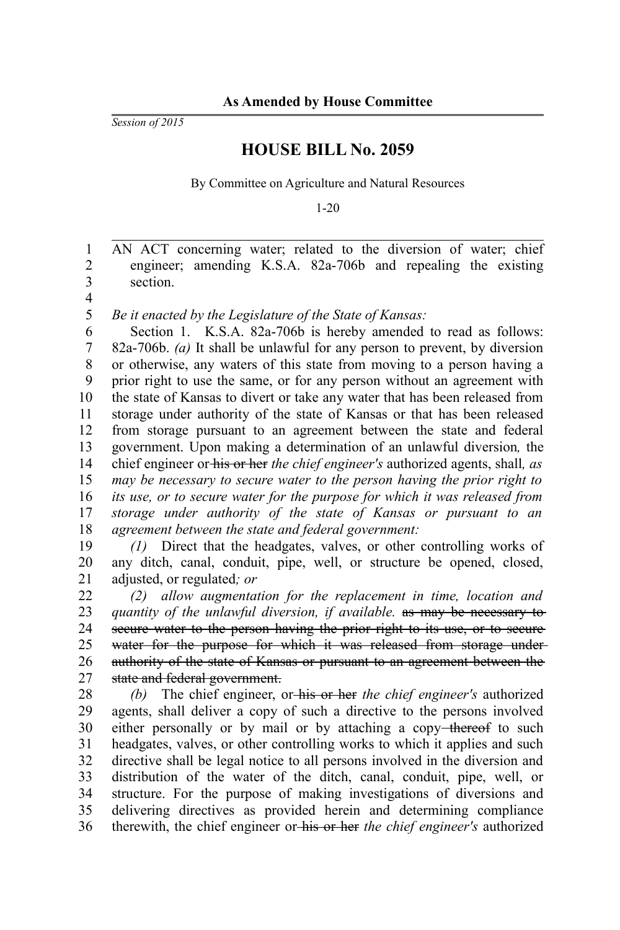*Session of 2015*

## **HOUSE BILL No. 2059**

By Committee on Agriculture and Natural Resources

1-20

AN ACT concerning water; related to the diversion of water; chief engineer; amending K.S.A. 82a-706b and repealing the existing section. 1 2 3

4

*Be it enacted by the Legislature of the State of Kansas:* 5

Section 1. K.S.A. 82a-706b is hereby amended to read as follows: 82a-706b. *(a)* It shall be unlawful for any person to prevent, by diversion or otherwise, any waters of this state from moving to a person having a prior right to use the same, or for any person without an agreement with the state of Kansas to divert or take any water that has been released from storage under authority of the state of Kansas or that has been released from storage pursuant to an agreement between the state and federal government. Upon making a determination of an unlawful diversion*,* the chief engineer or his or her *the chief engineer's* authorized agents, shall*, as may be necessary to secure water to the person having the prior right to its use, or to secure water for the purpose for which it was released from storage under authority of the state of Kansas or pursuant to an agreement between the state and federal government:* 6 7 8 9 10 11 12 13 14 15 16 17 18

*(1)* Direct that the headgates, valves, or other controlling works of any ditch, canal, conduit, pipe, well, or structure be opened, closed, adjusted, or regulated*; or*  19 20 21

*(2) allow augmentation for the replacement in time, location and quantity of the unlawful diversion, if available.* as may be necessary to secure water to the person having the prior right to its use, or to secure water for the purpose for which it was released from storage underauthority of the state of Kansas or pursuant to an agreement between the state and federal government. 22 23 24 25 26 27

*(b)* The chief engineer, or his or her *the chief engineer's* authorized agents, shall deliver a copy of such a directive to the persons involved either personally or by mail or by attaching a copy-thereof to such headgates, valves, or other controlling works to which it applies and such directive shall be legal notice to all persons involved in the diversion and distribution of the water of the ditch, canal, conduit, pipe, well, or structure. For the purpose of making investigations of diversions and delivering directives as provided herein and determining compliance therewith, the chief engineer or his or her *the chief engineer's* authorized 28 29 30 31 32 33 34 35 36